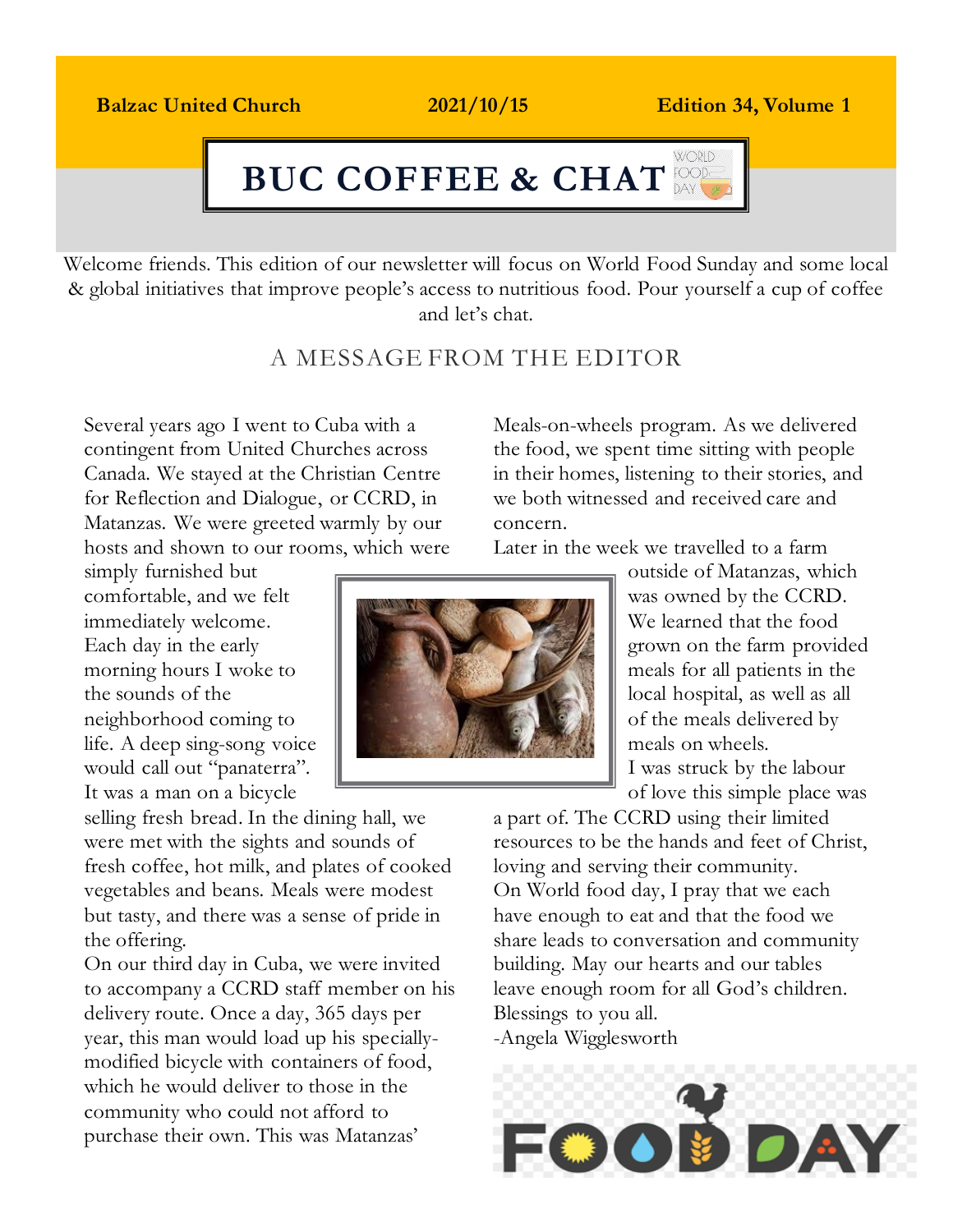## Balzac United Church 2021/10/15 Edition 14, Volume 1 **Balzac United Church 2021/10/15 Edition 34, Volume 1**

### **WORLD BUC COFFEE & CHATBUC COFFEE & CHAT**

Welcome friends. This edition of our newsletter will focus on World Food Sunday and some local & global initiatives that improve people's access to nutritious food. Pour yourself a cup of coffee and let's chat.

# A MESSAGE FROM THE EDITOR

Several years ago I went to Cuba with a contingent from United Churches across Canada. We stayed at the Christian Centre for Reflection and Dialogue, or CCRD, in Matanzas. We were greeted warmly by our hosts and shown to our rooms, which were

simply furnished but comfortable, and we felt immediately welcome. Each day in the early morning hours I woke to the sounds of the neighborhood coming to life. A deep sing-song voice would call out "panaterra". It was a man on a bicycle

selling fresh bread. In the dining hall, we were met with the sights and sounds of fresh coffee, hot milk, and plates of cooked vegetables and beans. Meals were modest but tasty, and there was a sense of pride in the offering.

On our third day in Cuba, we were invited to accompany a CCRD staff member on his delivery route. Once a day, 365 days per year, this man would load up his speciallymodified bicycle with containers of food, which he would deliver to those in the community who could not afford to purchase their own. This was Matanzas'

Meals-on-wheels program. As we delivered the food, we spent time sitting with people in their homes, listening to their stories, and we both witnessed and received care and concern.

Later in the week we travelled to a farm



outside of Matanzas, which was owned by the CCRD. We learned that the food grown on the farm provided meals for all patients in the local hospital, as well as all of the meals delivered by meals on wheels. I was struck by the labour of love this simple place was

a part of. The CCRD using their limited resources to be the hands and feet of Christ, loving and serving their community. On World food day, I pray that we each have enough to eat and that the food we share leads to conversation and community building. May our hearts and our tables leave enough room for all God's children. Blessings to you all. -Angela Wigglesworth

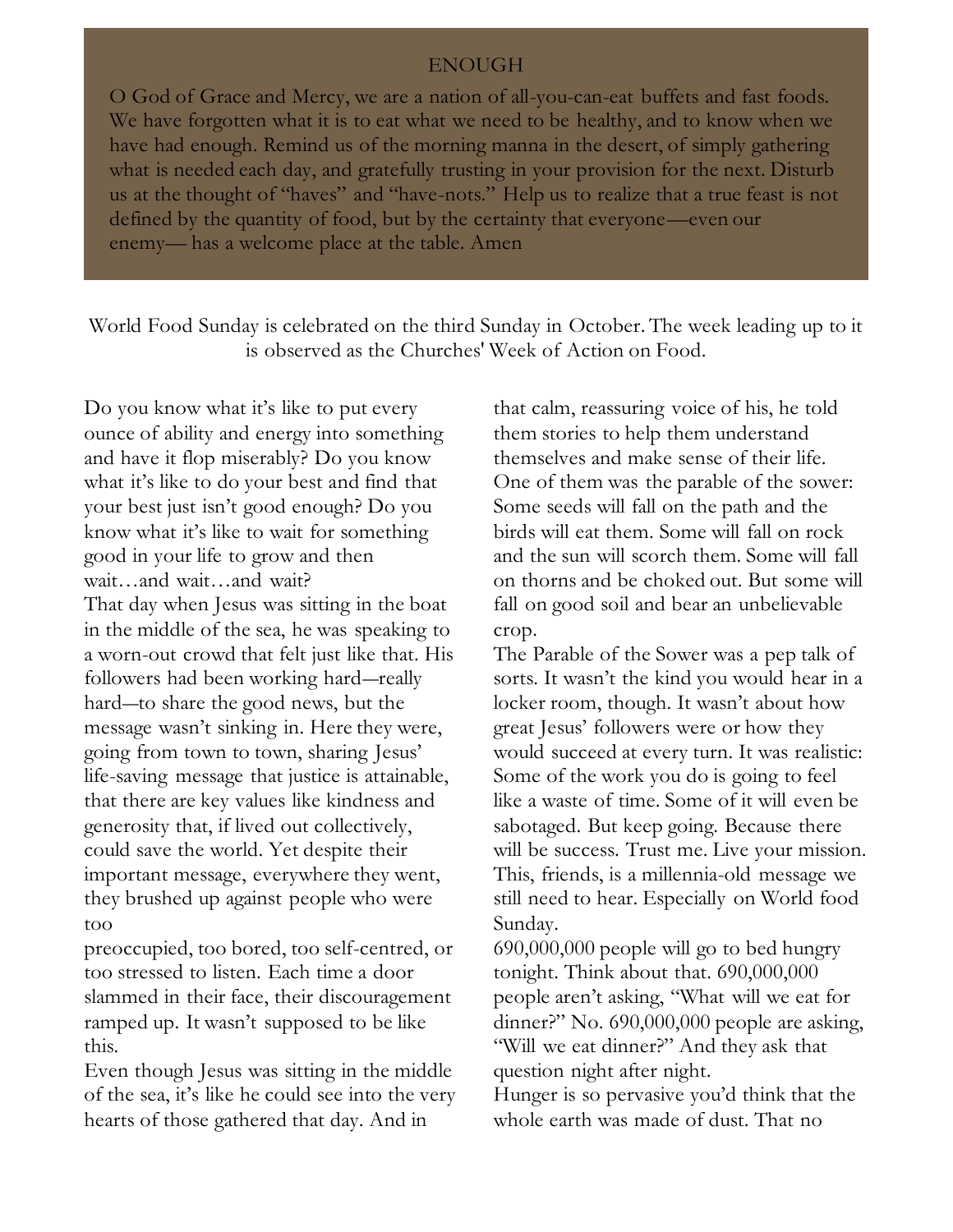#### ENOUGH

O God of Grace and Mercy, we are a nation of all-you-can-eat buffets and fast foods. We have forgotten what it is to eat what we need to be healthy, and to know when we have had enough. Remind us of the morning manna in the desert, of simply gathering what is needed each day, and gratefully trusting in your provision for the next. Disturb us at the thought of "haves" and "have-nots." Help us to realize that a true feast is not defined by the quantity of food, but by the certainty that everyone—even our enemy— has a welcome place at the table. Amen

World Food Sunday is celebrated on the third Sunday in October. The week leading up to it is observed as the Churches' Week of Action on Food.

Do you know what it's like to put every ounce of ability and energy into something and have it flop miserably? Do you know what it's like to do your best and find that your best just isn't good enough? Do you know what it's like to wait for something good in your life to grow and then wait…and wait…and wait? That day when Jesus was sitting in the boat in the middle of the sea, he was speaking to a worn-out crowd that felt just like that. His followers had been working hard―really hard—to share the good news, but the message wasn't sinking in. Here they were, going from town to town, sharing Jesus' life-saving message that justice is attainable, that there are key values like kindness and generosity that, if lived out collectively, could save the world. Yet despite their important message, everywhere they went, they brushed up against people who were too

preoccupied, too bored, too self-centred, or too stressed to listen. Each time a door slammed in their face, their discouragement ramped up. It wasn't supposed to be like this.

Even though Jesus was sitting in the middle of the sea, it's like he could see into the very hearts of those gathered that day. And in

that calm, reassuring voice of his, he told them stories to help them understand themselves and make sense of their life. One of them was the parable of the sower: Some seeds will fall on the path and the birds will eat them. Some will fall on rock and the sun will scorch them. Some will fall on thorns and be choked out. But some will fall on good soil and bear an unbelievable crop.

The Parable of the Sower was a pep talk of sorts. It wasn't the kind you would hear in a locker room, though. It wasn't about how great Jesus' followers were or how they would succeed at every turn. It was realistic: Some of the work you do is going to feel like a waste of time. Some of it will even be sabotaged. But keep going. Because there will be success. Trust me. Live your mission. This, friends, is a millennia-old message we still need to hear. Especially on World food Sunday.

690,000,000 people will go to bed hungry tonight. Think about that. 690,000,000 people aren't asking, "What will we eat for dinner?" No. 690,000,000 people are asking, "Will we eat dinner?" And they ask that question night after night.

Hunger is so pervasive you'd think that the whole earth was made of dust. That no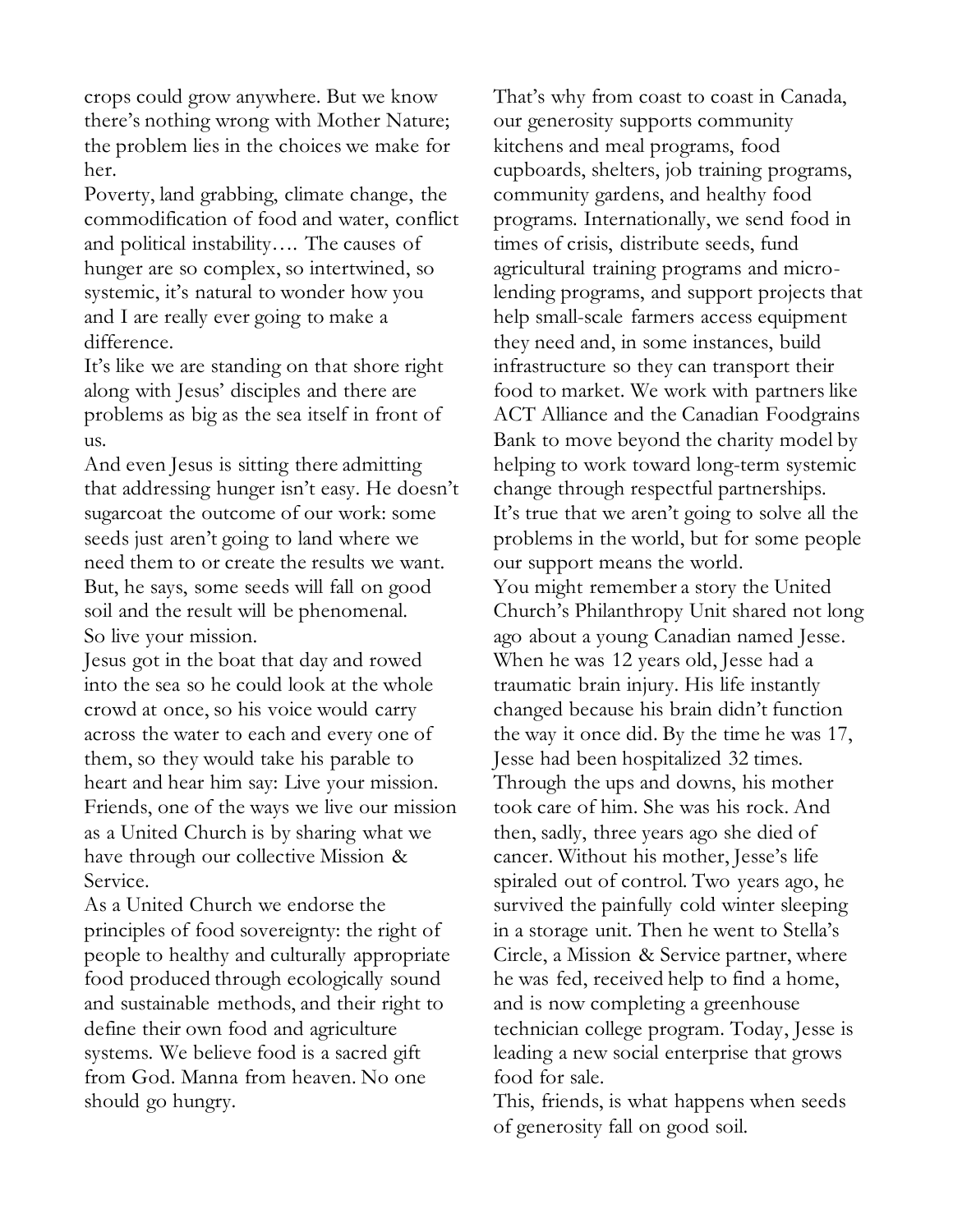crops could grow anywhere. But we know there's nothing wrong with Mother Nature; the problem lies in the choices we make for her.

Poverty, land grabbing, climate change, the commodification of food and water, conflict and political instability…. The causes of hunger are so complex, so intertwined, so systemic, it's natural to wonder how you and I are really ever going to make a difference.

It's like we are standing on that shore right along with Jesus' disciples and there are problems as big as the sea itself in front of us.

And even Jesus is sitting there admitting that addressing hunger isn't easy. He doesn't sugarcoat the outcome of our work: some seeds just aren't going to land where we need them to or create the results we want. But, he says, some seeds will fall on good soil and the result will be phenomenal. So live your mission.

Jesus got in the boat that day and rowed into the sea so he could look at the whole crowd at once, so his voice would carry across the water to each and every one of them, so they would take his parable to heart and hear him say: Live your mission. Friends, one of the ways we live our mission as a United Church is by sharing what we have through our collective Mission & Service.

As a United Church we endorse the principles of food sovereignty: the right of people to healthy and culturally appropriate food produced through ecologically sound and sustainable methods, and their right to define their own food and agriculture systems. We believe food is a sacred gift from God. Manna from heaven. No one should go hungry.

That's why from coast to coast in Canada, our generosity supports community kitchens and meal programs, food cupboards, shelters, job training programs, community gardens, and healthy food programs. Internationally, we send food in times of crisis, distribute seeds, fund agricultural training programs and microlending programs, and support projects that help small-scale farmers access equipment they need and, in some instances, build infrastructure so they can transport their food to market. We work with partners like ACT Alliance and the Canadian Foodgrains Bank to move beyond the charity model by helping to work toward long-term systemic change through respectful partnerships. It's true that we aren't going to solve all the problems in the world, but for some people our support means the world. You might remember a story the United Church's Philanthropy Unit shared not long ago about a [young Canadian named Jesse.](https://united-church.ca/stories/new-hope-and-new-life-jesses-story) When he was 12 years old, Jesse had a traumatic brain injury. His life instantly changed because his brain didn't function the way it once did. By the time he was 17, Jesse had been hospitalized 32 times. Through the ups and downs, his mother took care of him. She was his rock. And then, sadly, three years ago she died of cancer. Without his mother, Jesse's life spiraled out of control. Two years ago, he survived the painfully cold winter sleeping in a storage unit. Then he went to Stella's Circle, a Mission & Service partner, where he was fed, received help to find a home, and is now completing a greenhouse technician college program. Today, [Jesse is](https://united-church.ca/stories/work-brings-new-life-jesses-story-part-2)  [leading a new social enterprise](https://united-church.ca/stories/work-brings-new-life-jesses-story-part-2) that grows food for sale.

This, friends, is what happens when seeds of generosity fall on good soil.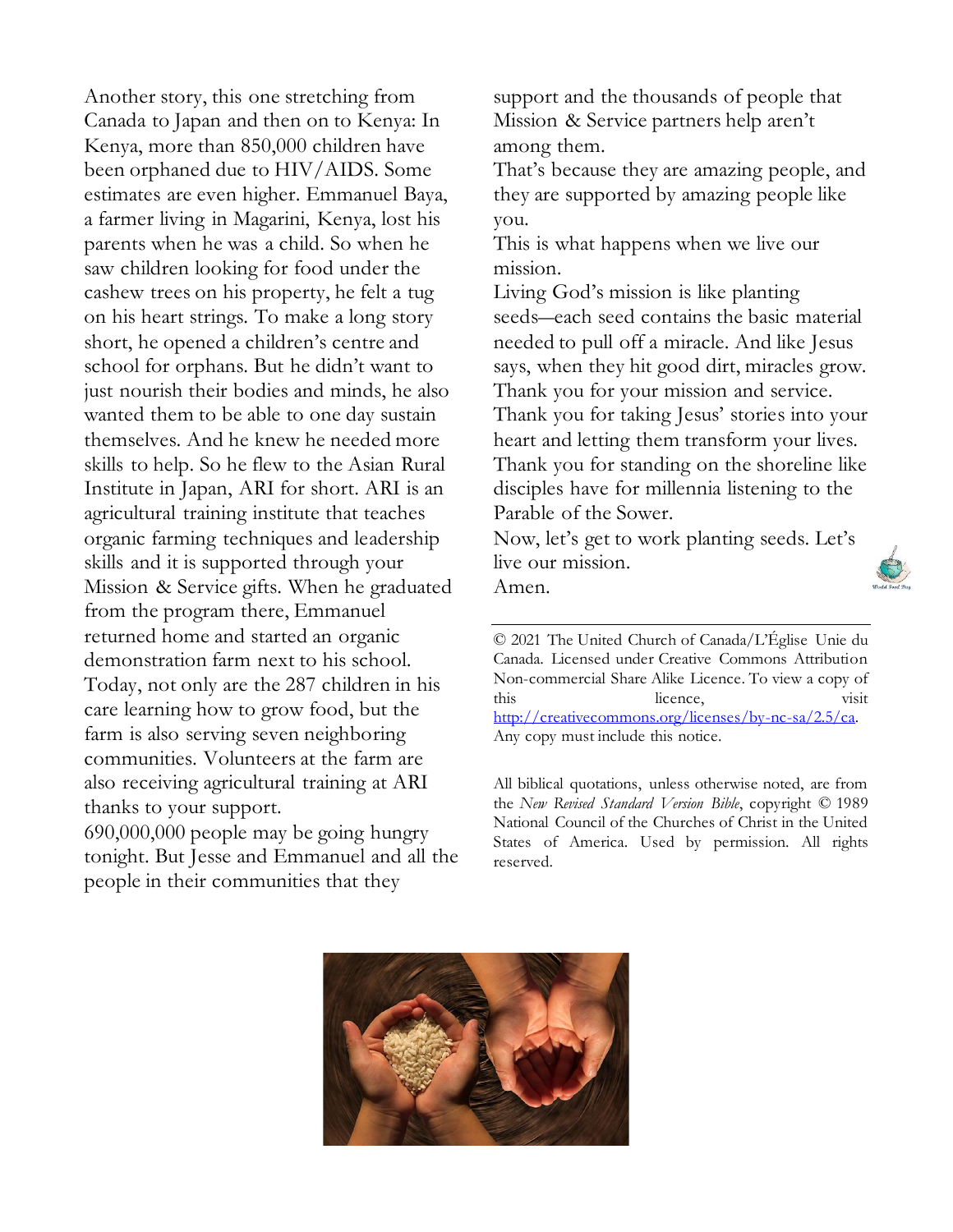Another story, this one stretching from Canada to Japan and then on to Kenya: In Kenya, more than 850,000 children have been orphaned due to HIV/AIDS. Some estimates are even higher. Emmanuel Baya, a farmer living in Magarini, Kenya, lost his parents when he was a child. So when he saw children looking for food under the cashew trees on his property, he felt a tug on his heart strings. To make a long story short, he opened a children's centre and school for orphans. But he didn't want to just nourish their bodies and minds, he also wanted them to be able to one day sustain themselves. And he knew he needed more skills to help. So he flew to the Asian Rural Institute in Japan, ARI for short. ARI is an agricultural training institute that teaches organic farming techniques and leadership skills and it is supported through your Mission & Service gifts. When he graduated from the program there, Emmanuel returned home and started an organic demonstration farm next to his school. Today, not only are the 287 children in his care learning how to grow food, but the farm is also serving seven neighboring communities. Volunteers at the farm are also receiving agricultural training at ARI thanks to your support. 690,000,000 people may be going hungry tonight. But Jesse and Emmanuel and all the

people in their communities that they

support and the thousands of people that Mission & Service partners help aren't among them.

That's because they are amazing people, and they are supported by amazing people like you.

This is what happens when we live our mission.

Living God's mission is like planting seeds―each seed contains the basic material needed to pull off a miracle. And like Jesus says, when they hit good dirt, miracles grow. Thank you for your mission and service. Thank you for taking Jesus' stories into your heart and letting them transform your lives. Thank you for standing on the shoreline like disciples have for millennia listening to the Parable of the Sower.

Now, let's get to work planting seeds. Let's live our mission. Amen.

© 2021 The United Church of Canada/L'Église Unie du Canada. Licensed under Creative Commons Attribution Non-commercial Share Alike Licence. To view a copy of this licence, visit [http://creativecommons.org/licenses/by-nc-sa/2.5/ca.](http://creativecommons.org/licenses/by-nc-sa/2.5/ca)  Any copy must include this notice.

All biblical quotations, unless otherwise noted, are from the *New Revised Standard Version Bible*, copyright © 1989 National Council of the Churches of Christ in the United States of America. Used by permission. All rights reserved.



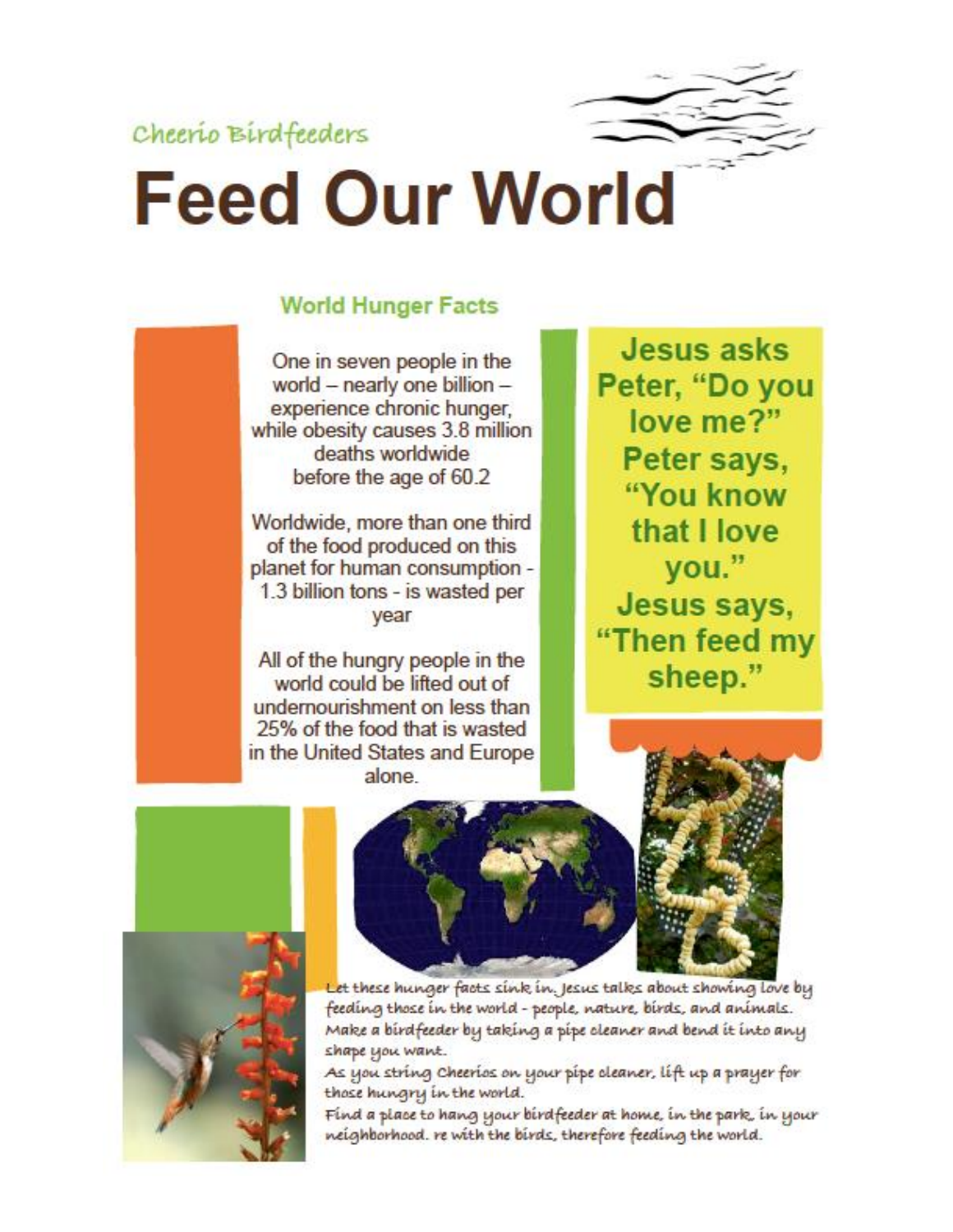Cheerio Birdfeeders



# **Feed Our World**

# **World Hunger Facts**

One in seven people in the world - nearly one billion experience chronic hunger, while obesity causes 3.8 million deaths worldwide before the age of 60.2

Worldwide, more than one third of the food produced on this planet for human consumption -1.3 billion tons - is wasted per year

All of the hungry people in the world could be lifted out of undernourishment on less than 25% of the food that is wasted in the United States and Europe alone

**Jesus asks** Peter, "Do you love me?" Peter says, "You know that I love you." Jesus says, "Then feed my sheep."





Let these hunger facts sink in. Jesus talks about showing love by feeding those in the world - people, nature, birds, and animals. Make a birdfeeder by taking a pipe cleaner and bend it into any shape you want.

As you string Cheerios on your pipe cleaner, lift up a prayer for those hungry in the world.

Find a place to hang your birdfeeder at home, in the park, in your neighborhood. re with the birds, therefore feeding the world.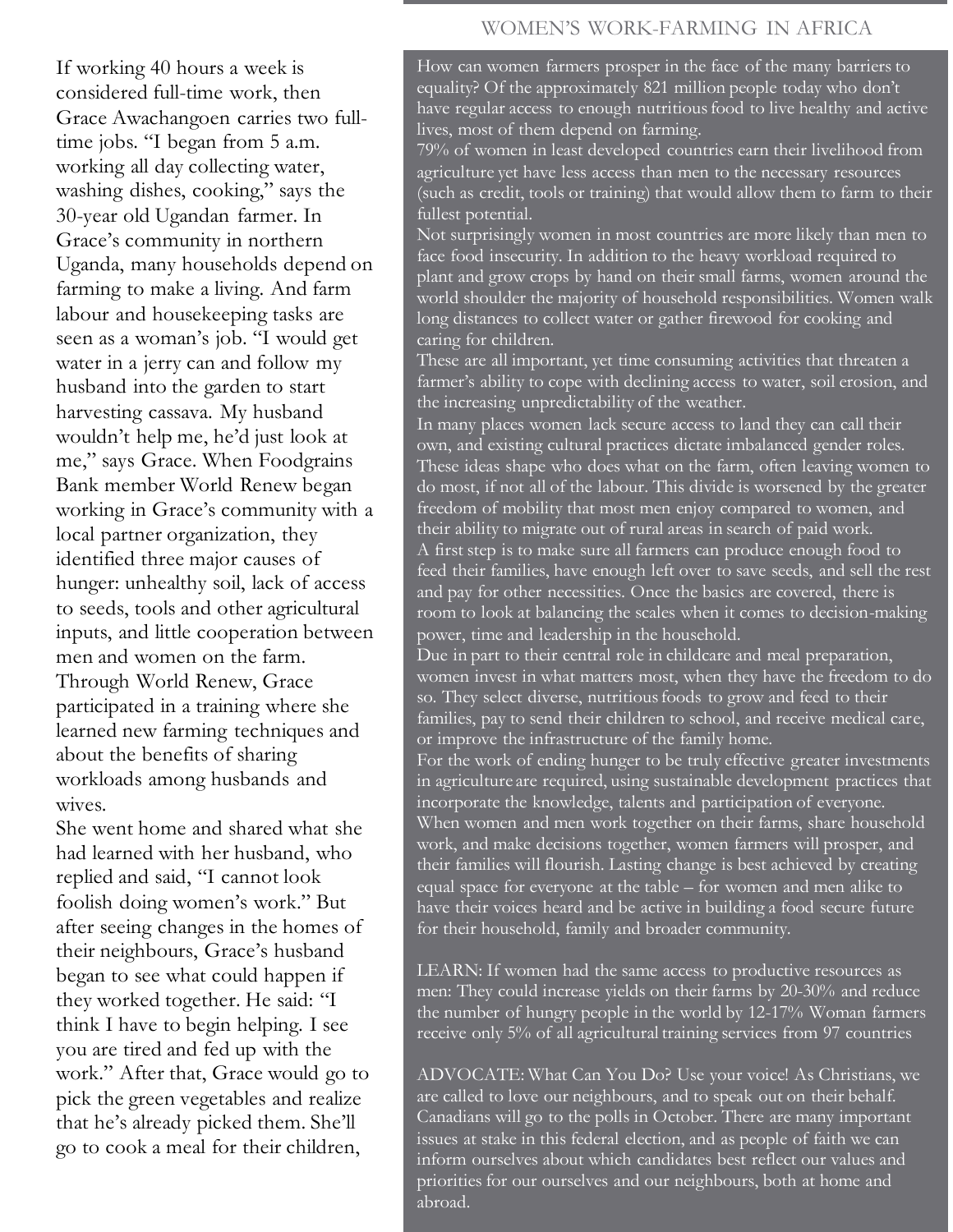### WOMEN'S WORK-FARMING IN AFRICA

If working 40 hours a week is considered full-time work, then Grace Awachangoen carries two fulltime jobs. "I began from 5 a.m. working all day collecting water, washing dishes, cooking," says the 30-year old Ugandan farmer. In Grace's community in northern Uganda, many households depend on farming to make a living. And farm labour and housekeeping tasks are seen as a woman's job. "I would get water in a jerry can and follow my husband into the garden to start harvesting cassava. My husband wouldn't help me, he'd just look at me," says Grace. When Foodgrains Bank member World Renew began working in Grace's community with a local partner organization, they identified three major causes of hunger: unhealthy soil, lack of access to seeds, tools and other agricultural inputs, and little cooperation between men and women on the farm. Through World Renew, Grace participated in a training where she learned new farming techniques and about the benefits of sharing workloads among husbands and wives.

She went home and shared what she had learned with her husband, who replied and said, "I cannot look foolish doing women's work." But after seeing changes in the homes of their neighbours, Grace's husband began to see what could happen if they worked together. He said: "I think I have to begin helping. I see you are tired and fed up with the work." After that, Grace would go to pick the green vegetables and realize that he's already picked them. She'll go to cook a meal for their children,

How can women farmers prosper in the face of the many barriers to equality? Of the approximately 821 million people today who don't have regular access to enough nutritious food to live healthy and active lives, most of them depend on farming.

79% of women in least developed countries earn their livelihood from agriculture yet have less access than men to the necessary resources (such as credit, tools or training) that would allow them to farm to their fullest potential.

Not surprisingly women in most countries are more likely than men to face food insecurity. In addition to the heavy workload required to plant and grow crops by hand on their small farms, women around the world shoulder the majority of household responsibilities. Women walk long distances to collect water or gather firewood for cooking and caring for children.

These are all important, yet time consuming activities that threaten a farmer's ability to cope with declining access to water, soil erosion, and the increasing unpredictability of the weather.

In many places women lack secure access to land they can call their own, and existing cultural practices dictate imbalanced gender roles. These ideas shape who does what on the farm, often leaving women to do most, if not all of the labour. This divide is worsened by the greater freedom of mobility that most men enjoy compared to women, and their ability to migrate out of rural areas in search of paid work. A first step is to make sure all farmers can produce enough food to feed their families, have enough left over to save seeds, and sell the rest and pay for other necessities. Once the basics are covered, there is room to look at balancing the scales when it comes to decision-making power, time and leadership in the household.

Due in part to their central role in childcare and meal preparation, women invest in what matters most, when they have the freedom to do so. They select diverse, nutritious foods to grow and feed to their families, pay to send their children to school, and receive medical care, or improve the infrastructure of the family home.

For the work of ending hunger to be truly effective greater investments in agriculture are required, using sustainable development practices that incorporate the knowledge, talents and participation of everyone. When women and men work together on their farms, share household work, and make decisions together, women farmers will prosper, and their families will flourish. Lasting change is best achieved by creating equal space for everyone at the table – for women and men alike to have their voices heard and be active in building a food secure future for their household, family and broader community.

LEARN: If women had the same access to productive resources as men: They could increase yields on their farms by 20-30% and reduce the number of hungry people in the world by 12-17% Woman farmers receive only 5% of all agricultural training services from 97 countries

ADVOCATE: What Can You Do? Use your voice! As Christians, we are called to love our neighbours, and to speak out on their behalf. Canadians will go to the polls in October. There are many important issues at stake in this federal election, and as people of faith we can inform ourselves about which candidates best reflect our values and priorities for our ourselves and our neighbours, both at home and abroad.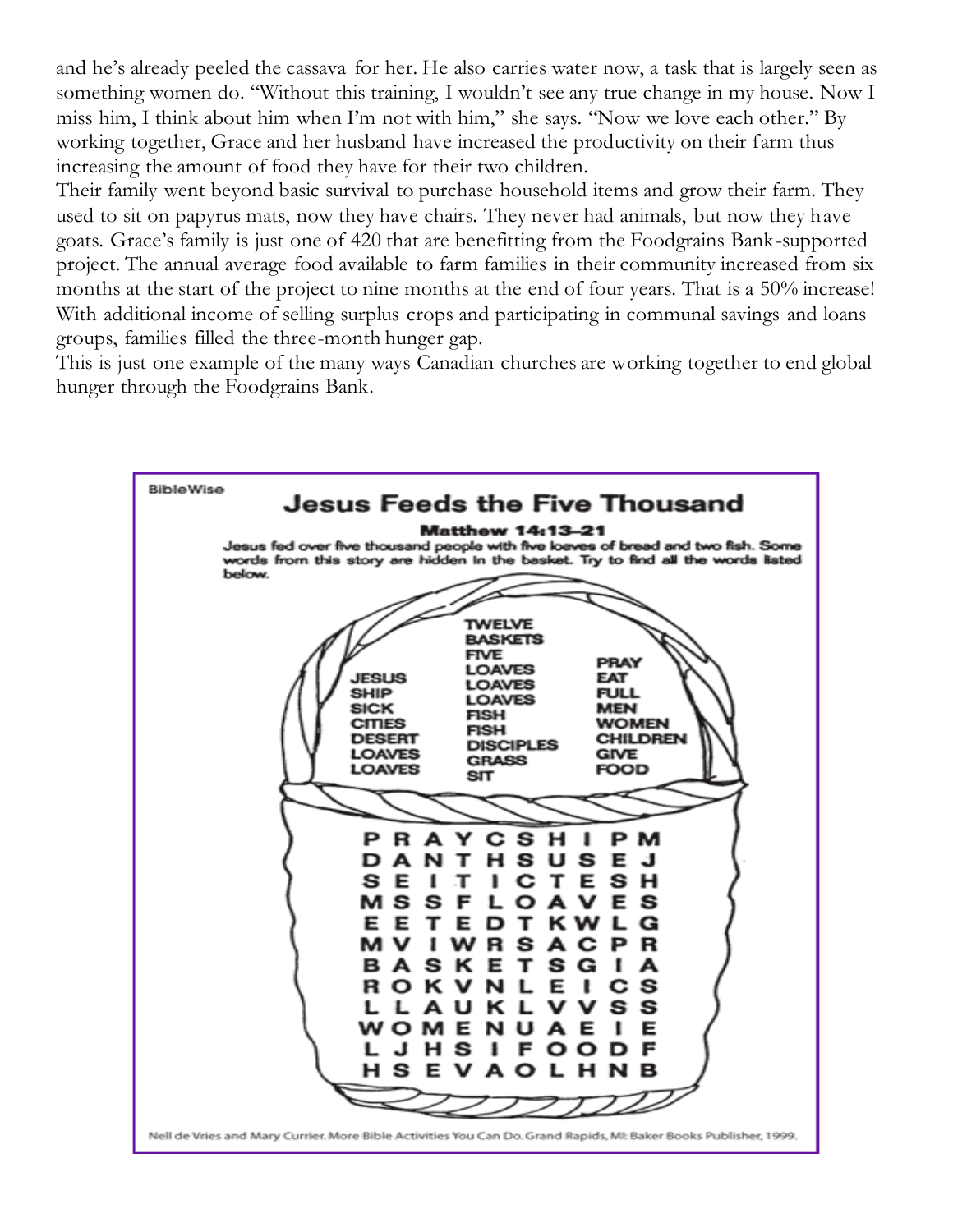and he's already peeled the cassava for her. He also carries water now, a task that is largely seen as something women do. "Without this training, I wouldn't see any true change in my house. Now I miss him, I think about him when I'm not with him," she says. "Now we love each other." By working together, Grace and her husband have increased the productivity on their farm thus increasing the amount of food they have for their two children.

Their family went beyond basic survival to purchase household items and grow their farm. They used to sit on papyrus mats, now they have chairs. They never had animals, but now they have goats. Grace's family is just one of 420 that are benefitting from the Foodgrains Bank-supported project. The annual average food available to farm families in their community increased from six months at the start of the project to nine months at the end of four years. That is a 50% increase! With additional income of selling surplus crops and participating in communal savings and loans groups, families filled the three-month hunger gap.

This is just one example of the many ways Canadian churches are working together to end global hunger through the Foodgrains Bank.

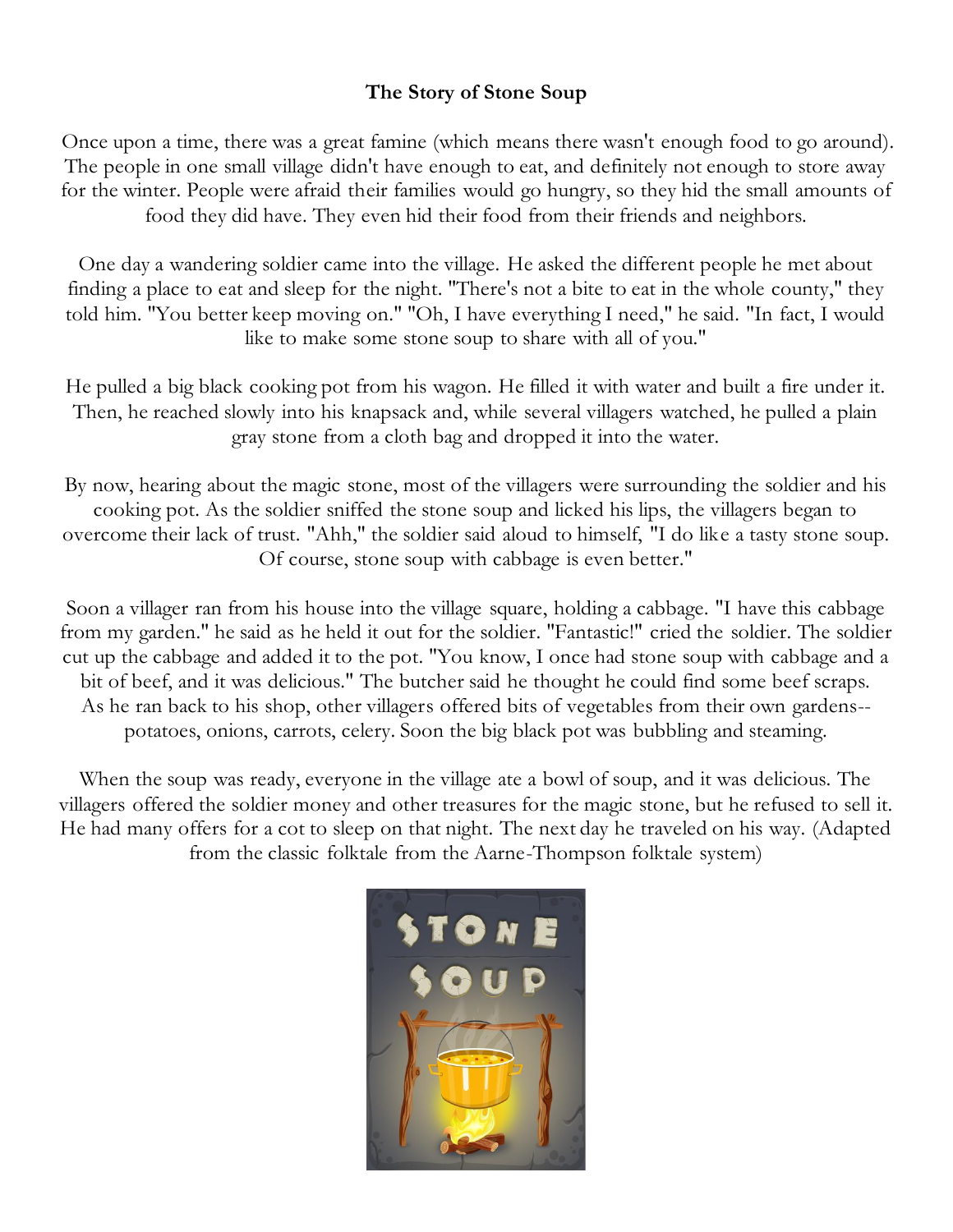# **The Story of Stone Soup**

Once upon a time, there was a great famine (which means there wasn't enough food to go around). The people in one small village didn't have enough to eat, and definitely not enough to store away for the winter. People were afraid their families would go hungry, so they hid the small amounts of food they did have. They even hid their food from their friends and neighbors.

One day a wandering soldier came into the village. He asked the different people he met about finding a place to eat and sleep for the night. "There's not a bite to eat in the whole county," they told him. "You better keep moving on." "Oh, I have everything I need," he said. "In fact, I would like to make some stone soup to share with all of you."

He pulled a big black cooking pot from his wagon. He filled it with water and built a fire under it. Then, he reached slowly into his knapsack and, while several villagers watched, he pulled a plain gray stone from a cloth bag and dropped it into the water.

By now, hearing about the magic stone, most of the villagers were surrounding the soldier and his cooking pot. As the soldier sniffed the stone soup and licked his lips, the villagers began to overcome their lack of trust. "Ahh," the soldier said aloud to himself, "I do like a tasty stone soup. Of course, stone soup with cabbage is even better."

Soon a villager ran from his house into the village square, holding a cabbage. "I have this cabbage from my garden." he said as he held it out for the soldier. "Fantastic!" cried the soldier. The soldier cut up the cabbage and added it to the pot. "You know, I once had stone soup with cabbage and a bit of beef, and it was delicious." The butcher said he thought he could find some beef scraps. As he ran back to his shop, other villagers offered bits of vegetables from their own gardens- potatoes, onions, carrots, celery. Soon the big black pot was bubbling and steaming.

When the soup was ready, everyone in the village ate a bowl of soup, and it was delicious. The villagers offered the soldier money and other treasures for the magic stone, but he refused to sell it. He had many offers for a cot to sleep on that night. The next day he traveled on his way. (Adapted from the classic folktale from the Aarne-Thompson folktale system)

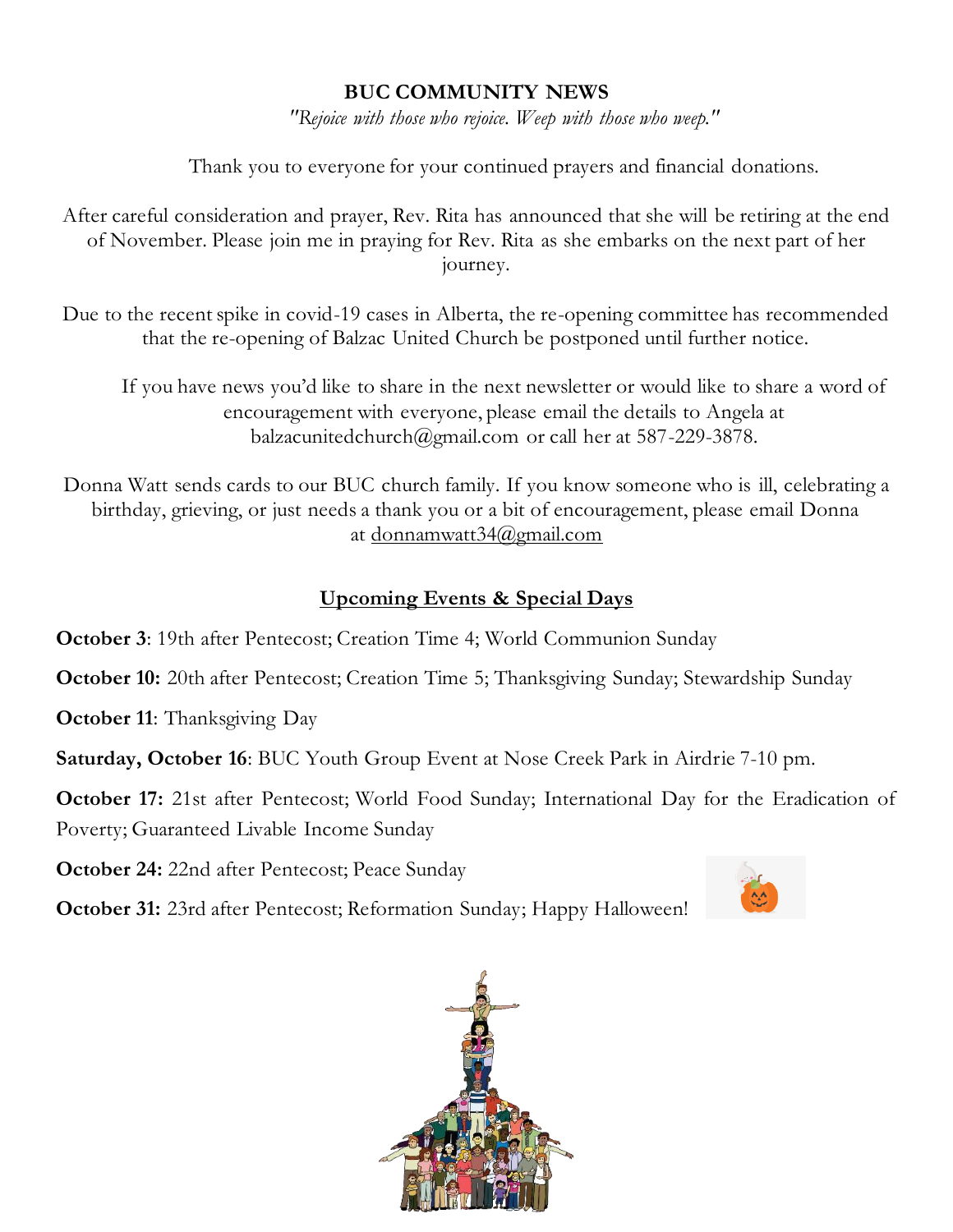# **BUC COMMUNITY NEWS**

*"Rejoice with those who rejoice. Weep with those who weep."*

Thank you to everyone for your continued prayers and financial donations.

After careful consideration and prayer, Rev. Rita has announced that she will be retiring at the end of November. Please join me in praying for Rev. Rita as she embarks on the next part of her journey.

Due to the recent spike in covid-19 cases in Alberta, the re-opening committee has recommended that the re-opening of Balzac United Church be postponed until further notice.

If you have news you'd like to share in the next newsletter or would like to share a word of encouragement with everyone, please email the details to Angela at balzacunitedchurch@gmail.com or call her at 587-229-3878.

Donna Watt sends cards to our BUC church family. If you know someone who is ill, celebrating a birthday, grieving, or just needs a thank you or a bit of encouragement, please email Donna at [donnamwatt34@gmail.com](mailto:donnamwatt34@gmail.com)

# **Upcoming Events & Special Days**

**October 3**: 19th after Pentecost; Creation Time 4; World Communion Sunday

**October 10:** 20th after Pentecost; Creation Time 5; Thanksgiving Sunday; Stewardship Sunday

**October 11:** Thanksgiving Day

**Saturday, October 16**: BUC Youth Group Event at Nose Creek Park in Airdrie 7-10 pm.

**October 17:** 21st after Pentecost; World Food Sunday; International Day for the Eradication of Poverty; Guaranteed Livable Income Sunday

**October 24:** 22nd after Pentecost; Peace Sunday

**October 31:** 23rd after Pentecost; Reformation Sunday; Happy Halloween!